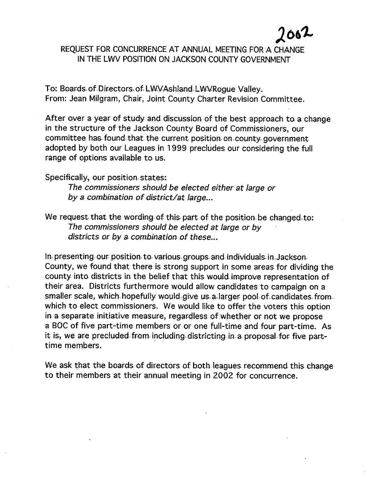**J061..** 

#### REQUEST FOR CONCURRENCE AT ANNUAL MEETING FOR A CHANGE IN THE LWV POSITION ON JACKSON COUNTY GOVERNMENT

To: Boards of Directors of LWVAshland LWVRoque Valley. From: Jean Milgram, Chair, Joint County Charter Revision Committee.

After over a year of study and discussion of the best approach to a change in the structure of the Jackson County Board of Commissioners, our committee has found that the current position on county government. adopted by both our Leagues in 1999 precludes our considering the full range of options available to us.

Specifically., our position- states:

The commissioners should be elected either at large or by a combination of district/at large...

We request that the wording of this part of the position be changed to: The commissioners should be elected at large or by districts or by a combination of these...

In presenting our position to various groups and individuals in Jackson. County, we found that there is strong support in some areas for dividing the county into districts in the belief that this would improve representation of their area. Districts furthermore would allow candidates to campaign on a smaller scale, which hopefully would give us a larger pool of candidates from. which to elect commissioners. We would like to offer the voters this option in a separate initiative measure, regardless of whether or not we propose a BOC of five part-time members or or one full-time and four part-time. As it is, we are precluded from including districting in a proposal for five parttime members.

We ask that the boards of directors of both leagues recommend this change to their members at their annual meeting in 2002 for concurrence.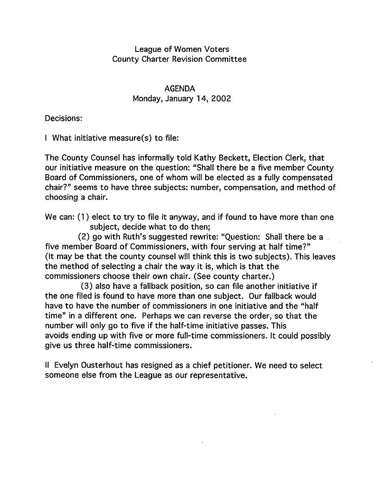#### League of Women *Voters*  County Charter Revision Committee

AGENDA Monday, January 14, 2002

Decisions:

I What initiative measure(s) to file:

The County Counsel has informally told Kathy Beckett, Election Clerk, that our initiative measure on the question: "Shall there be a five member County Board of Commissioners, one of whom will be elected as a fully compensated chair?" seems to have three subjects: number, compensation, and method of choosing a chair.

We can: (1) elect to try to file it anyway, and if found to have more than one subject, decide what to do then;

(2) go with Ruth's suggested rewrite: "Question: Shall there be a five member Board of Commissioners, with four serving at half time?" (It may be that the county counsel will think this is two subjects). This leaves the method of selecting a chair the way it is, which is that the commissioners choose their own chair. (See county charter.)

(3) also have a fallback position, so can file another initiative if the one filed is found to have more than one subject. Our fallback would have to have the number of commissioners in one initiative and the "half time" in a different one. Perhaps we can reverse the order, so that the number will only go to five if the half-time initiative passes. This avoids ending up with five or more full-time commissioners. It could possibly give us three half-time commissioners.

II Evelyn Ousterhout has resigned as a chief petitioner. We need to select someone else from the League as our representative.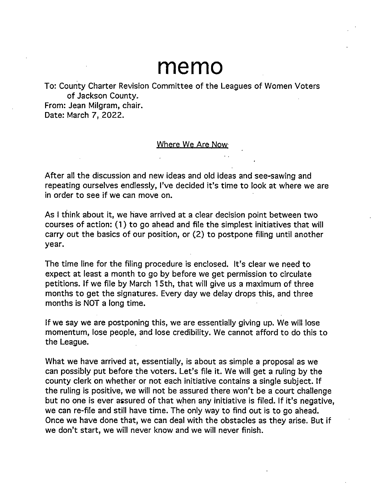# **memo**

To: County Charter Revision Committee of the Leagues of Women Voters of Jackson County.

From: Jean Milgram, chair. Date: March 7, 2022.

#### Where We Are Now

After all the discussion and new ideas and old ideas and see-sawing and repeating ourselves endlessly, I've decided it's time to look at where we are in order to see if we can move on.

As I think about it, we have arrived at a clear decision point between two courses of action: (1) to go ahead and file the simplest initiatives that will carry out the basics of our position, or (2) to postpone filing until another year.

The time line for the filing procedure is enclosed. It's clear we need to expect at least a month to go by before we get permission to circulate petitions. If we file by March 15th, that will give us a maximum of three months to get the signatures. Every day we delay drops this, and three months is NOT a long time.

If we say we are postponing this, we are essentially giving up. We will lose momentum, lose people, and lose credibility. We cannot afford to do this to the League.

What we have arrived at, essentially, is about as simple a proposal as we can possibly put before the voters. Let's file it. We will get a ruling by the county clerk on whether or not each initiative contains a single subject. If the ruling is positive, we will not be assured there won't be a court challenge but no one is ever assured of that when any initiative is filed. If it's negative, we can re-file and still have time. The only way to find out is to go ahead. Once we have done that, we can deal with the obstacles as they arise. But if we don't start, we will never know and we will never finish.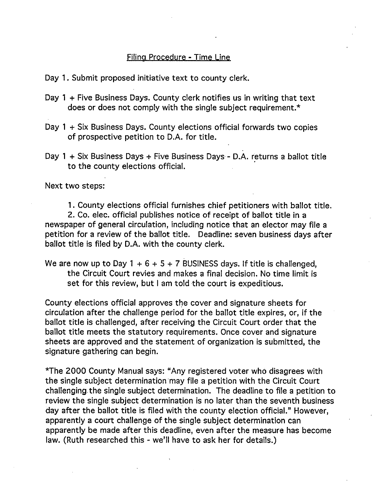#### Filing Procedure - Time Line

Day 1. Submit proposed initiative text to county clerk.

- Day 1 + Five Business Days. County clerk notifies us in writing that text does or does not comply with the single subject requirement.\*
- Day 1 + Six Business Days. County elections official forwards two copies of prospective petition to D.A. for title.
- Day 1 + Six Business Days + Five Business Days D.A. returns a ballot title to the county elections official.

Next two steps:

1. County elections official furnishes chief petitioners with ballot title.

2. Co. elec. official publishes notice of receipt of ballot title in a newspaper of general circulation, including notice that an elector may file a petition for a review of the ballot title. Deadline: seven business days after ballot title is filed by D.A. with the county clerk.

We are now up to Day  $1 + 6 + 5 + 7$  BUSINESS days. If title is challenged, the Circuit Court revies and makes a final decision. No time limit is set for this review, but I am told the court is expeditious.

County elections official approves the cover and signature sheets for circulation after the challenge period for the ballot title expires, or, if the ballot title is challenged, after receiving the Circuit Court order that the ballot title meets the statutory requirements. Once cover and signature sheets are approved and the statement of organization is submitted, the signature gathering can begin.

\*The 2000 County Manual says: "Any registered voter who disagrees with the single subject determination may file a petition with the Circuit Court challenging. the single subject determination. The deadline to file a petition to review the single subject determination is no later than the seventh business day after the ballot title is filed with the county election official." However, apparently a court challenge of the single subject determination can apparently be made after this deadline, even after the measure has become law. (Ruth researched this - we'll have to ask her for details.)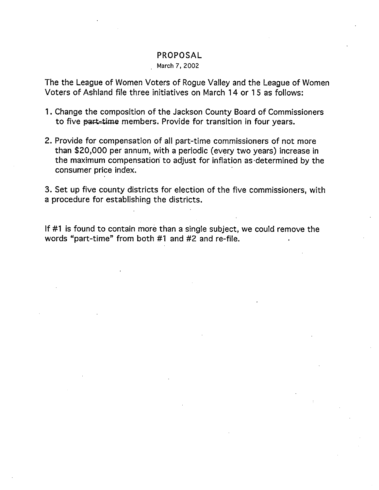#### PROPOSAL

#### March 7, 2002

The the League of Women Voters of Rogue Valley and the League of Women Voters of Ashland file three initiatives on March 14 or 1 5 as follows:

- 1 . Change the composition of the Jackson County Board of Commissioners to five part-time members. Provide for transition in four years.
- 2. Provide for compensation of all part-time commissioners of not more than \$20,000 per annum, with a periodic (every two years) increase in the maximum compensation to adjust for inflation as determined by the consumer price index.

3. Set up five county districts for election of the five commissioners, with a procedure for establishing the districts.

If #1 is found to contain more than a single subject, we could remove the words "part-time" from both #1 and #2 and re-file.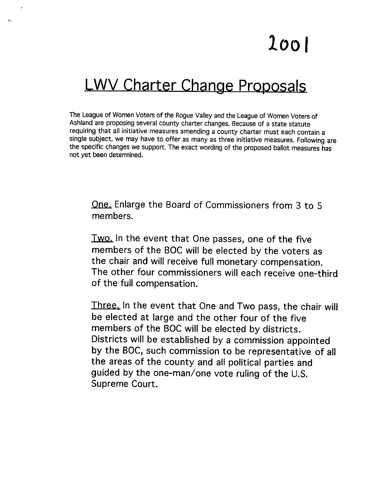# **1001**

# **LWV Charter Change Proposals**

 $\sim$ 

The League of Women Voters of the Rogue Valley and the League of Women Voters of Ashland are proposing several county charter changes. Because of a state statute requiring that all initiative measures amending a county charter must each contain a single subject, we may have to offer as many as three initiative measures. Following are the specific changes we support. The exact wording of the proposed ballot measures has not yet been determined.

**One. Enlarge the Board of Commissioners from 3 to** 5 **members.** 

**Two. In the event that One passes, one of the five members of the BOC will be elected by the voters as the chair and will receive full monetary compensation. The other four commissioners will each receive one-third of the full compensation.** 

**Three. In the event that One and Two pass, the chair will be elected at large and the other four of the five members of the BOC will be elected by districts. Districts will be established by a commission appointed by the BOC, such commission to be representative of all the areas of the county and all political parties and guided by the one-man/one vote ruling of the U.S. Supreme Court.**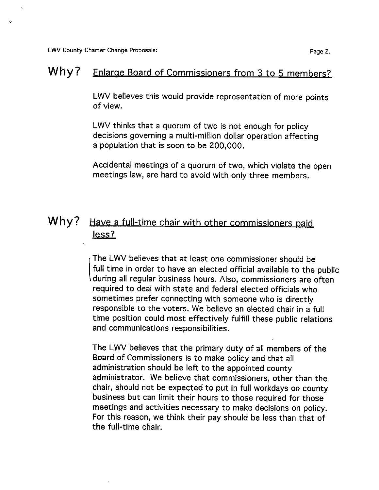LWV County Charter Change Proposals: **Page 2.** Page 2.

## **Why?** Enlarge Board of Commissioners from 3 to 5 members?

LWV believes this would provide representation of more points of view.

LWV thinks that a quorum of two is not enough for policy decisions governing a multi-million dollar operation affecting a population that is soon to be 200,000.

Accidental meetings of a quorum of two, which violate the open meetings law, are hard to avoid with only three members.

### **Why?** Have a full-time chair with other commissioners paid less?

( The LWV believes that at least one commissioner should be full time in order to have an elected official available to the public during all regular business hours. Also, commissioners are often required to deal with state and federal elected officials who sometimes prefer connecting with someone who is directly responsible to the voters. We believe an elected chair in a full time position could most effectively fulfill these public relations and communications responsibilities.

The LWV believes that the primary duty of all members of the Board of Commissioners is to make policy and that all administration should be left to the appointed county administrator. We believe that commissioners, other than the chair, should not be expected to put in full workdays on county business but can limit their hours to those required for those meetings and activities necessary to make decisions on policy. For this reason, we think their pay should be less than that of the full-time chair.